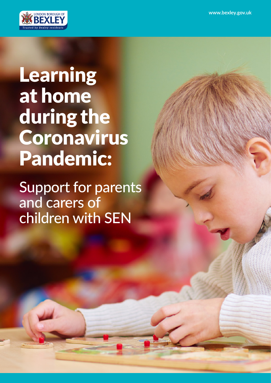

## Learning at home during the Coronavirus Pandemic:

Support for parents and carers of children with SEN